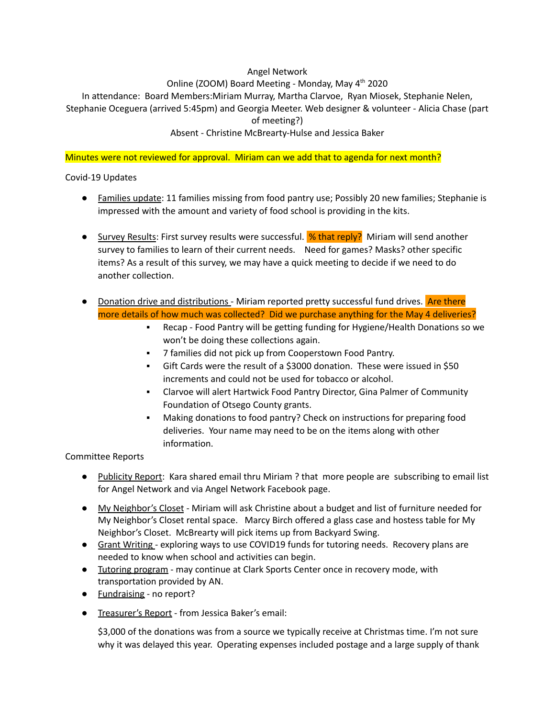### Angel Network

# Online (ZOOM) Board Meeting - Monday, May 4<sup>th</sup> 2020

In attendance: Board Members:Miriam Murray, Martha Clarvoe, Ryan Miosek, Stephanie Nelen, Stephanie Oceguera (arrived 5:45pm) and Georgia Meeter. Web designer & volunteer - Alicia Chase (part of meeting?)

## Absent - Christine McBrearty-Hulse and Jessica Baker

### Minutes were not reviewed for approval. Miriam can we add that to agenda for next month?

Covid-19 Updates

- Families update: 11 families missing from food pantry use; Possibly 20 new families; Stephanie is impressed with the amount and variety of food school is providing in the kits.
- Survey Results: First survey results were successful. <sup>9</sup>% that reply? Miriam will send another survey to families to learn of their current needs. Need for games? Masks? other specific items? As a result of this survey, we may have a quick meeting to decide if we need to do another collection.
- Donation drive and distributions Miriam reported pretty successful fund drives. Are there more details of how much was collected? Did we purchase anything for the May 4 deliveries?
	- Recap Food Pantry will be getting funding for Hygiene/Health Donations so we won't be doing these collections again.
	- 7 families did not pick up from Cooperstown Food Pantry.
	- Gift Cards were the result of a \$3000 donation. These were issued in \$50 increments and could not be used for tobacco or alcohol.
	- Clarvoe will alert Hartwick Food Pantry Director, Gina Palmer of Community Foundation of Otsego County grants.
	- Making donations to food pantry? Check on instructions for preparing food deliveries. Your name may need to be on the items along with other information.

## Committee Reports

- Publicity Report: Kara shared email thru Miriam ? that more people are subscribing to email list for Angel Network and via Angel Network Facebook page.
- My Neighbor's Closet Miriam will ask Christine about a budget and list of furniture needed for My Neighbor's Closet rental space. Marcy Birch offered a glass case and hostess table for My Neighbor's Closet. McBrearty will pick items up from Backyard Swing.
- Grant Writing exploring ways to use COVID19 funds for tutoring needs. Recovery plans are needed to know when school and activities can begin.
- Tutoring program may continue at Clark Sports Center once in recovery mode, with transportation provided by AN.
- **Fundraising** no report?
- Treasurer's Report from Jessica Baker's email:

\$3,000 of the donations was from a source we typically receive at Christmas time. I'm not sure why it was delayed this year. Operating expenses included postage and a large supply of thank